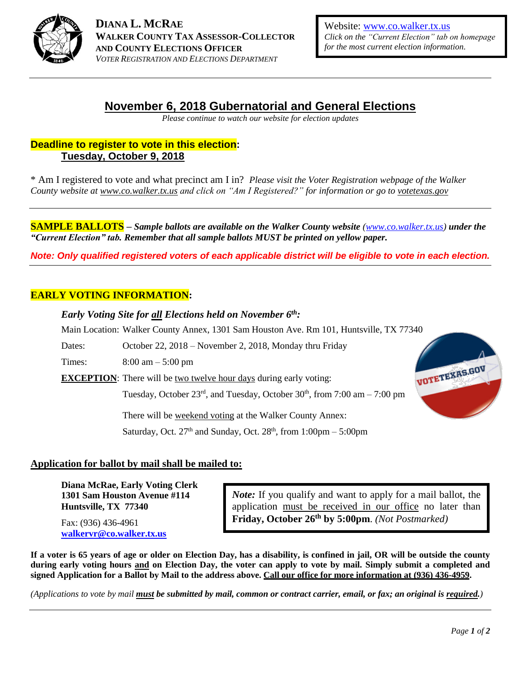

**DIANA L. MCRAE WALKER COUNTY TAX ASSESSOR-COLLECTOR AND COUNTY ELECTIONS OFFICER** *VOTER REGISTRATION AND ELECTIONS DEPARTMENT*

Website: [www.co.walker.tx.us](http://www.co.walker.tx.us/) *Click on the "Current Election" tab on homepage for the most current election information.*

## **November 6, 2018 Gubernatorial and General Elections**

*Please continue to watch our website for election updates*

### **Deadline to register to vote in this election: Tuesday, October 9, 2018**

\* Am I registered to vote and what precinct am I in? *Please visit the Voter Registration webpage of the Walker County website at www.co.walker.tx.us and click on "Am I Registered?" for information or go to votetexas.gov*

**SAMPLE BALLOTS** – *Sample ballots are available on the Walker County website* (*www.co.walker.tx.us*) *under the "Current Election" tab. Remember that all sample ballots MUST be printed on yellow paper.*

*Note: Only qualified registered voters of each applicable district will be eligible to vote in each election.*

#### **EARLY VOTING INFORMATION:**

*Early Voting Site for all Elections held on November 6 th:* 

Main Location: Walker County Annex, 1301 Sam Houston Ave. Rm 101, Huntsville, TX 77340

Dates: October 22, 2018 – November 2, 2018, Monday thru Friday

Times: 8:00 am – 5:00 pm

**EXCEPTION:** There will be two twelve hour days during early voting:

Tuesday, October  $23<sup>rd</sup>$ , and Tuesday, October  $30<sup>th</sup>$ , from  $7:00$  am  $-7:00$  pm

There will be weekend voting at the Walker County Annex:

Saturday, Oct.  $27<sup>th</sup>$  and Sunday, Oct.  $28<sup>th</sup>$ , from  $1:00 \text{pm} - 5:00 \text{pm}$ 



#### **Application for ballot by mail shall be mailed to:**

**Diana McRae, Early Voting Clerk 1301 Sam Houston Avenue #114 Huntsville, TX 77340**

Fax: (936) 436-4961 **[walkervr@co.walker.tx.us](mailto:walkervr@co.walker.tx.us)** *Note:* If you qualify and want to apply for a mail ballot, the application must be received in our office no later than **Friday, October 26th by 5:00pm**. *(Not Postmarked)*

**If a voter is 65 years of age or older on Election Day, has a disability, is confined in jail, OR will be outside the county during early voting hours and on Election Day, the voter can apply to vote by mail. Simply submit a completed and signed Application for a Ballot by Mail to the address above. Call our office for more information at (936) 436-4959.** 

*(Applications to vote by mail must be submitted by mail, common or contract carrier, email, or fax; an original is required.)*